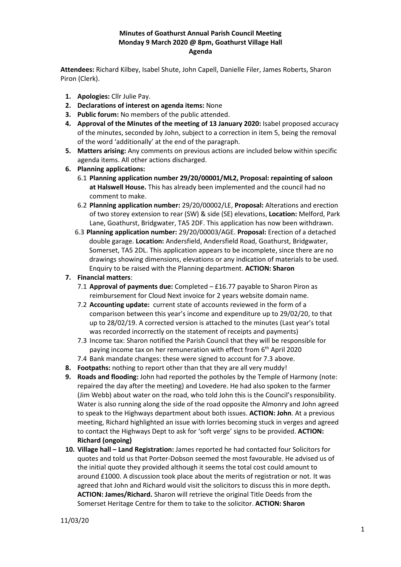# **Minutes of Goathurst Annual Parish Council Meeting Monday 9 March 2020 @ 8pm, Goathurst Village Hall Agenda**

**Attendees:** Richard Kilbey, Isabel Shute, John Capell, Danielle Filer, James Roberts, Sharon Piron (Clerk).

- **1. Apologies:** Cllr Julie Pay.
- **2. Declarations of interest on agenda items:** None
- **3. Public forum:** No members of the public attended.
- **4. Approval of the Minutes of the meeting of 13 January 2020:** Isabel proposed accuracy of the minutes, seconded by John, subject to a correction in item 5, being the removal of the word 'additionally' at the end of the paragraph.
- **5. Matters arising:** Any comments on previous actions are included below within specific agenda items. All other actions discharged.
- **6. Planning applications:**
	- 6.1 **Planning application number 29/20/00001/ML2, Proposal: repainting of saloon at Halswell House.** This has already been implemented and the council had no comment to make.
	- 6.2 **Planning application number:** 29/20/00002/LE, **Proposal:** Alterations and erection of two storey extension to rear (SW) & side (SE) elevations, **Location:** Melford, Park Lane, Goathurst, Bridgwater, TA5 2DF. This application has now been withdrawn.
	- 6.3 **Planning application number:** 29/20/00003/AGE. **Proposal:** Erection of a detached double garage. **Location:** Andersfield, Andersfield Road, Goathurst, Bridgwater, Somerset, TA5 2DL. This application appears to be incomplete, since there are no drawings showing dimensions, elevations or any indication of materials to be used. Enquiry to be raised with the Planning department. **ACTION: Sharon**

# **7. Financial matters**:

- 7.1 **Approval of payments due:** Completed £16.77 payable to Sharon Piron as reimbursement for Cloud Next invoice for 2 years website domain name.
- 7.2 **Accounting update:** current state of accounts reviewed in the form of a comparison between this year's income and expenditure up to 29/02/20, to that up to 28/02/19. A corrected version is attached to the minutes (Last year's total was recorded incorrectly on the statement of receipts and payments)
- 7.3 Income tax: Sharon notified the Parish Council that they will be responsible for paying income tax on her remuneration with effect from 6<sup>th</sup> April 2020
- 7.4 Bank mandate changes: these were signed to account for 7.3 above.
- **8. Footpaths:** nothing to report other than that they are all very muddy!
- **9. Roads and flooding:** John had reported the potholes by the Temple of Harmony (note: repaired the day after the meeting) and Lovedere. He had also spoken to the farmer (Jim Webb) about water on the road, who told John this is the Council's responsibility. Water is also running along the side of the road opposite the Almonry and John agreed to speak to the Highways department about both issues. **ACTION: John**. At a previous meeting, Richard highlighted an issue with lorries becoming stuck in verges and agreed to contact the Highways Dept to ask for 'soft verge' signs to be provided. **ACTION: Richard (ongoing)**
- **10. Village hall – Land Registration:** James reported he had contacted four Solicitors for quotes and told us that Porter-Dobson seemed the most favourable. He advised us of the initial quote they provided although it seems the total cost could amount to around £1000. A discussion took place about the merits of registration or not. It was agreed that John and Richard would visit the solicitors to discuss this in more depth**. ACTION: James/Richard.** Sharon will retrieve the original Title Deeds from the Somerset Heritage Centre for them to take to the solicitor. **ACTION: Sharon**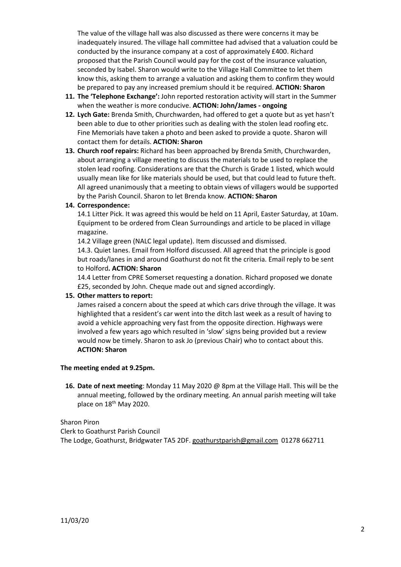The value of the village hall was also discussed as there were concerns it may be inadequately insured. The village hall committee had advised that a valuation could be conducted by the insurance company at a cost of approximately £400. Richard proposed that the Parish Council would pay for the cost of the insurance valuation, seconded by Isabel. Sharon would write to the Village Hall Committee to let them know this, asking them to arrange a valuation and asking them to confirm they would be prepared to pay any increased premium should it be required. **ACTION: Sharon**

- **11. The 'Telephone Exchange':** John reported restoration activity will start in the Summer when the weather is more conducive. **ACTION: John/James - ongoing**
- **12. Lych Gate:** Brenda Smith, Churchwarden, had offered to get a quote but as yet hasn't been able to due to other priorities such as dealing with the stolen lead roofing etc. Fine Memorials have taken a photo and been asked to provide a quote. Sharon will contact them for details. **ACTION: Sharon**
- **13. Church roof repairs:** Richard has been approached by Brenda Smith, Churchwarden, about arranging a village meeting to discuss the materials to be used to replace the stolen lead roofing. Considerations are that the Church is Grade 1 listed, which would usually mean like for like materials should be used, but that could lead to future theft. All agreed unanimously that a meeting to obtain views of villagers would be supported by the Parish Council. Sharon to let Brenda know. **ACTION: Sharon**

# **14. Correspondence:**

14.1 Litter Pick. It was agreed this would be held on 11 April, Easter Saturday, at 10am. Equipment to be ordered from Clean Surroundings and article to be placed in village magazine.

14.2 Village green (NALC legal update). Item discussed and dismissed.

14.3. Quiet lanes. Email from Holford discussed. All agreed that the principle is good but roads/lanes in and around Goathurst do not fit the criteria. Email reply to be sent to Holford**. ACTION: Sharon**

14.4 Letter from CPRE Somerset requesting a donation. Richard proposed we donate £25, seconded by John. Cheque made out and signed accordingly.

## **15. Other matters to report:**

James raised a concern about the speed at which cars drive through the village. It was highlighted that a resident's car went into the ditch last week as a result of having to avoid a vehicle approaching very fast from the opposite direction. Highways were involved a few years ago which resulted in 'slow' signs being provided but a review would now be timely. Sharon to ask Jo (previous Chair) who to contact about this. **ACTION: Sharon**

## **The meeting ended at 9.25pm.**

**16. Date of next meeting**: Monday 11 May 2020 @ 8pm at the Village Hall. This will be the annual meeting, followed by the ordinary meeting. An annual parish meeting will take place on 18<sup>th</sup> May 2020.

Sharon Piron Clerk to Goathurst Parish Council The Lodge, Goathurst, Bridgwater TA5 2DF[. goathurstparish@gmail.com](mailto:goathurstparish@gmail.com) 01278 662711